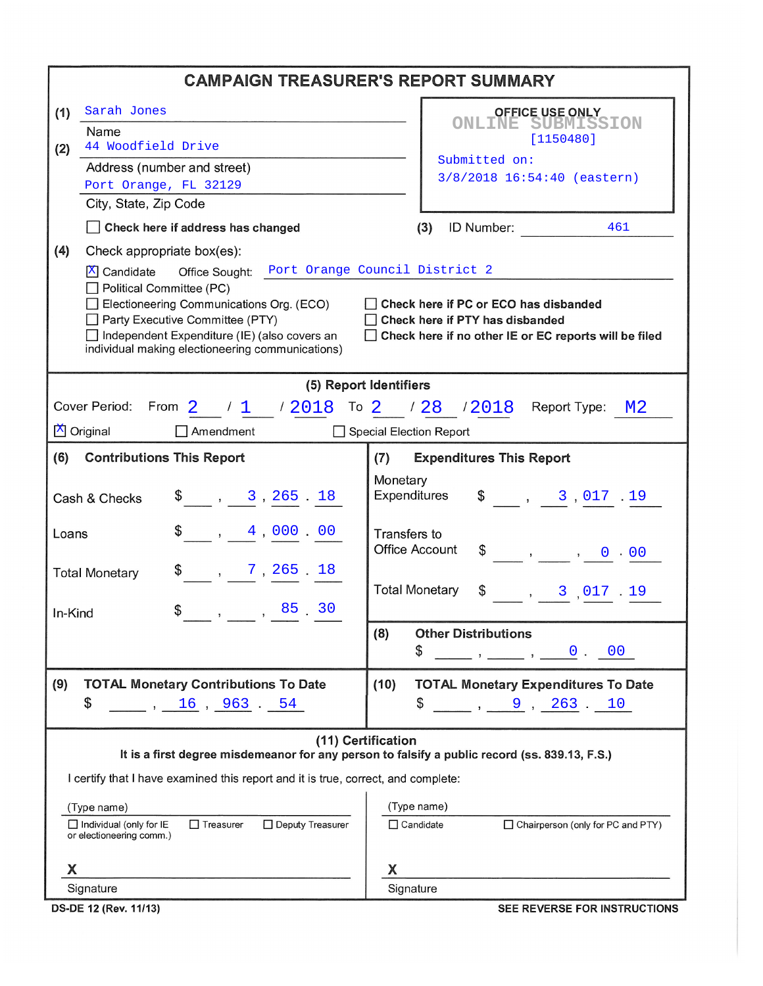| <b>CAMPAIGN TREASURER'S REPORT SUMMARY</b>                                                                                                                              |                                                                                        |  |  |  |  |  |  |  |
|-------------------------------------------------------------------------------------------------------------------------------------------------------------------------|----------------------------------------------------------------------------------------|--|--|--|--|--|--|--|
| Sarah Jones<br>(1)                                                                                                                                                      | <b>OFFICE USE ONLY</b>                                                                 |  |  |  |  |  |  |  |
| Name                                                                                                                                                                    | <b>ONLINE SUBMISSION</b><br>[1150480]                                                  |  |  |  |  |  |  |  |
| 44 Woodfield Drive<br>(2)<br>Address (number and street)                                                                                                                | Submitted on:                                                                          |  |  |  |  |  |  |  |
| Port Orange, FL 32129                                                                                                                                                   | 3/8/2018 16:54:40 (eastern)                                                            |  |  |  |  |  |  |  |
| City, State, Zip Code                                                                                                                                                   |                                                                                        |  |  |  |  |  |  |  |
| Check here if address has changed                                                                                                                                       | ID Number:<br>(3)<br>461                                                               |  |  |  |  |  |  |  |
| (4)<br>Check appropriate box(es):                                                                                                                                       |                                                                                        |  |  |  |  |  |  |  |
| Office Sought: Port Orange Council District 2<br>X Candidate<br>Political Committee (PC)<br>Electioneering Communications Org. (ECO)<br>Party Executive Committee (PTY) | Check here if PC or ECO has disbanded<br>Check here if PTY has disbanded               |  |  |  |  |  |  |  |
| Independent Expenditure (IE) (also covers an<br>individual making electioneering communications)                                                                        | Check here if no other IE or EC reports will be filed                                  |  |  |  |  |  |  |  |
|                                                                                                                                                                         | (5) Report Identifiers                                                                 |  |  |  |  |  |  |  |
| Cover Period: From $2$ $/1$ $/2018$ To $2$ $/28$ $/2018$ Report Type: M2                                                                                                |                                                                                        |  |  |  |  |  |  |  |
| X Original<br>Amendment                                                                                                                                                 | Special Election Report                                                                |  |  |  |  |  |  |  |
| (6)<br><b>Contributions This Report</b>                                                                                                                                 | <b>Expenditures This Report</b><br>(7)                                                 |  |  |  |  |  |  |  |
| $\frac{1}{2}$ , 3, 265.18<br>Cash & Checks                                                                                                                              | Monetary<br>Expenditures<br>$\frac{1}{2}$ , 3,017.19                                   |  |  |  |  |  |  |  |
| $\frac{1}{2}$ , 4,000.00<br>Loans                                                                                                                                       | Transfers to<br><b>Office Account</b><br>$\frac{1}{2}$ , , 0 0 0 0 0 0 0 $\frac{1}{2}$ |  |  |  |  |  |  |  |
| $\frac{1}{2}$ , 7, 265.18<br><b>Total Monetary</b><br>$\$\qquad, \qquad, \qquad 85 \quad 30$<br>In-Kind                                                                 | <b>Total Monetary</b><br>$\frac{1}{2}$ , 3,017.19                                      |  |  |  |  |  |  |  |
|                                                                                                                                                                         | <b>Other Distributions</b><br>(8)                                                      |  |  |  |  |  |  |  |
|                                                                                                                                                                         | \$<br>$\qquad \qquad , \qquad \qquad 0 \qquad 00$                                      |  |  |  |  |  |  |  |
| (9)<br><b>TOTAL Monetary Contributions To Date</b>                                                                                                                      | (10)<br><b>TOTAL Monetary Expenditures To Date</b>                                     |  |  |  |  |  |  |  |
| \$<br>16, 963.54                                                                                                                                                        | \$<br>$\frac{9}{263}$ , 263 10                                                         |  |  |  |  |  |  |  |
| (11) Certification<br>It is a first degree misdemeanor for any person to falsify a public record (ss. 839.13, F.S.)                                                     |                                                                                        |  |  |  |  |  |  |  |
| I certify that I have examined this report and it is true, correct, and complete:                                                                                       |                                                                                        |  |  |  |  |  |  |  |
|                                                                                                                                                                         | (Type name)                                                                            |  |  |  |  |  |  |  |
| (Type name)<br>$\Box$ Individual (only for IE<br>$\Box$ Treasurer<br>□ Deputy Treasurer<br>or electioneering comm.)                                                     | $\Box$ Candidate<br>□ Chairperson (only for PC and PTY)                                |  |  |  |  |  |  |  |
| X                                                                                                                                                                       | X                                                                                      |  |  |  |  |  |  |  |
| Signature                                                                                                                                                               | Signature                                                                              |  |  |  |  |  |  |  |

DS-DE 12 (Rev. 11/13)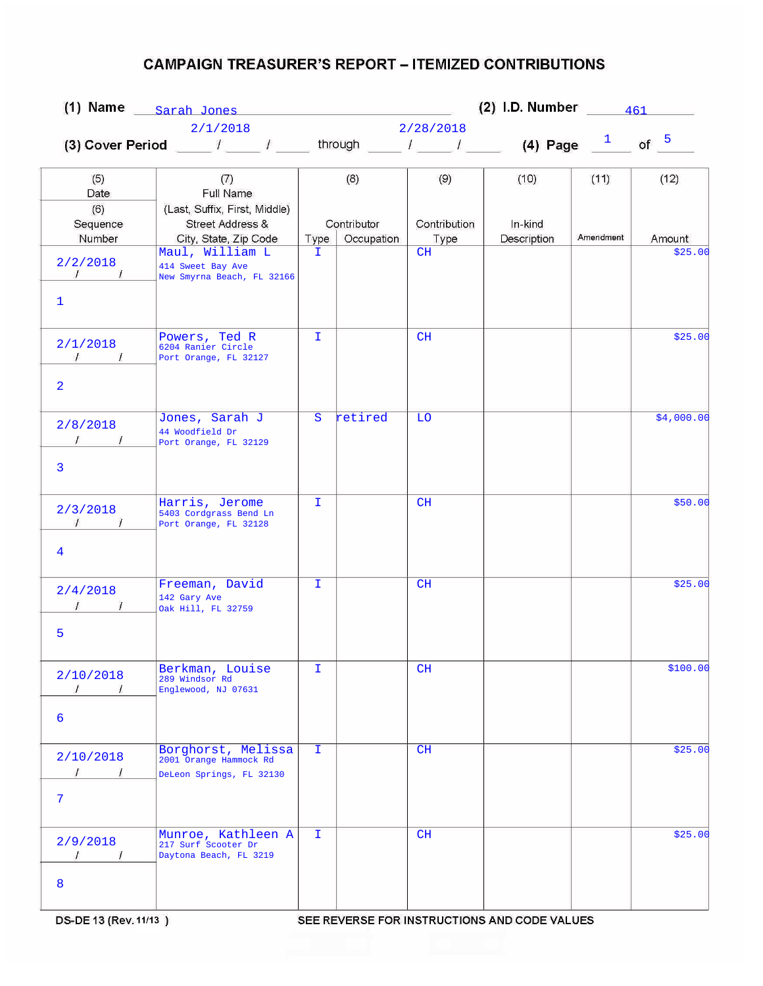|                                                            |                                                                                                                      | (2) I.D. Number $\frac{461}{\sqrt{10}}$<br>(1) Name $_{\text{Sarah-Jones}}$ |                           |                      |                        |           |            |  |  |
|------------------------------------------------------------|----------------------------------------------------------------------------------------------------------------------|-----------------------------------------------------------------------------|---------------------------|----------------------|------------------------|-----------|------------|--|--|
|                                                            | 2/1/2018                                                                                                             | 2/28/2018                                                                   |                           |                      |                        |           |            |  |  |
|                                                            | (3) Cover Period ____ / ____ / ____ through ____ / ____ / ____ (4) Page $\frac{1}{\sqrt{2}}$ of $\frac{5}{\sqrt{2}}$ |                                                                             |                           |                      |                        |           |            |  |  |
| (5)<br>Date                                                | (7)<br>Full Name                                                                                                     |                                                                             | (8)                       | (9)                  | (10)                   | (11)      | (12)       |  |  |
| (6)<br>Sequence<br>Number                                  | (Last, Suffix, First, Middle)<br>Street Address &<br>City, State, Zip Code                                           | Type                                                                        | Contributor<br>Occupation | Contribution<br>Type | In-kind<br>Description | Amendment | Amount     |  |  |
| 2/2/2018<br>$\frac{1}{\sqrt{2}}$<br>$\mathbf{1}$           | Maul, William L<br>414 Sweet Bay Ave<br>New Smyrna Beach, FL 32166                                                   | T.                                                                          |                           | CH                   |                        |           | \$25.00    |  |  |
| 2/1/2018<br>$\sqrt{1}$<br>$\overline{2}$                   | Powers, Ted R<br>6204 Ranier Circle<br>Port Orange, FL 32127                                                         | T.                                                                          |                           | CH                   |                        |           | \$25.00    |  |  |
| 2/8/2018<br>3                                              | Jones, Sarah J<br>44 Woodfield Dr<br>Port Orange, FL 32129                                                           | S                                                                           | retired                   | <b>LO</b>            |                        |           | \$4,000.00 |  |  |
| 2/3/2018<br>$\mathcal{L}$<br>$\sqrt{ }$<br>4               | Harris, Jerome<br>5403 Cordgrass Bend Ln<br>Port Orange, FL 32128                                                    | T.                                                                          |                           | CH                   |                        |           | \$50.00    |  |  |
| 2/4/2018<br>5                                              | Freeman, David<br>142 Gary Ave<br>Oak Hill, FL 32759                                                                 | $\mathbf{I}$                                                                |                           | CH                   |                        |           | \$25.00    |  |  |
| 2/10/2018<br>$\prime$<br>$\prime$<br>6                     | Berkman, Louise<br>289 Windsor Rd<br>Englewood, NJ 07631                                                             | I.                                                                          |                           | CH                   |                        |           | \$100.00   |  |  |
| 2/10/2018<br>$\mathcal{I}$ $\mathcal{I}$<br>$\overline{7}$ | Borghorst, Melissa<br>2001 Orange Hammock Rd<br>DeLeon Springs, FL 32130                                             | I.                                                                          |                           | CH                   |                        |           | \$25.00    |  |  |
| 2/9/2018<br>$\prime$<br>$\sqrt{2}$<br>8                    | Munroe, Kathleen A<br>217 Surf Scooter Dr<br>Daytona Beach, FL 3219                                                  | I.                                                                          |                           | CH                   |                        |           | \$25.00    |  |  |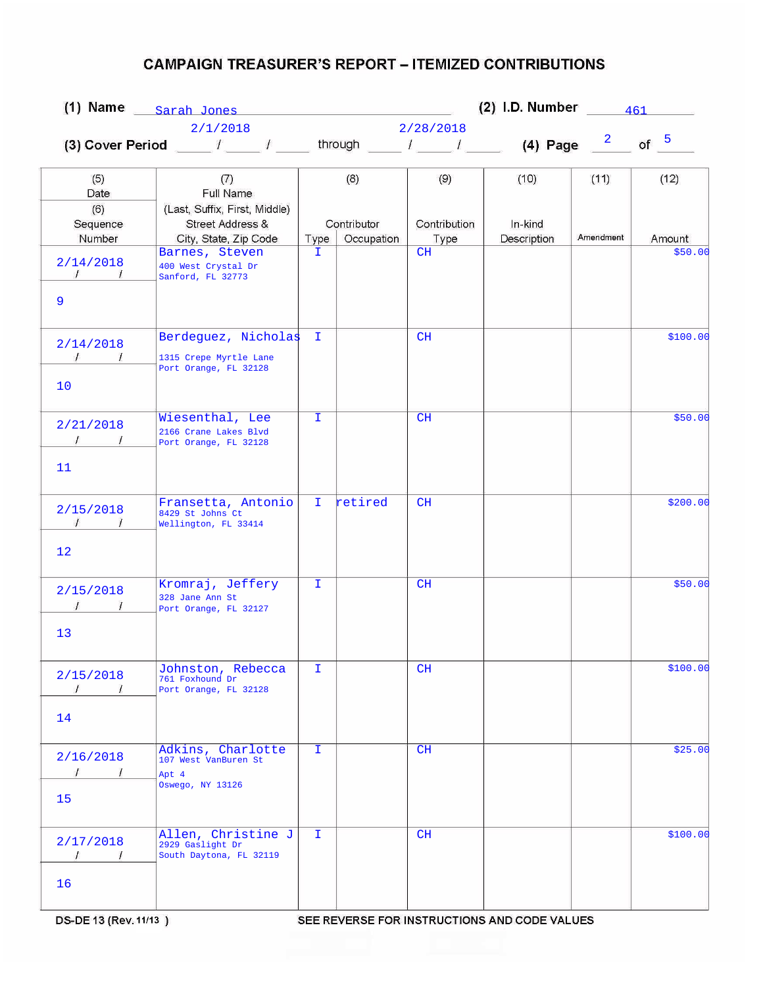|                                                                  | $(1)$ Name $_{\text{Sarah Jones}}$                                         |              |                           |                      | (2) I.D. Number $\frac{461}{\sqrt{2}}$ |           |          |  |  |
|------------------------------------------------------------------|----------------------------------------------------------------------------|--------------|---------------------------|----------------------|----------------------------------------|-----------|----------|--|--|
|                                                                  | 2/1/2018                                                                   |              |                           | 2/28/2018            |                                        |           |          |  |  |
|                                                                  |                                                                            |              |                           |                      |                                        |           | of $5$   |  |  |
| (5)<br>Date                                                      | (7)<br>Full Name                                                           |              | (8)                       | (9)                  | (10)                                   | (11)      | (12)     |  |  |
| (6)<br>Sequence<br>Number                                        | (Last, Suffix, First, Middle)<br>Street Address &<br>City, State, Zip Code | Type         | Contributor<br>Occupation | Contribution<br>Type | In-kind<br>Description                 | Amendment | Amount   |  |  |
| 2/14/2018<br>$\mathcal{L}$<br>9                                  | Barnes, Steven<br>400 West Crystal Dr<br>Sanford, FL 32773                 | T.           |                           | CH                   |                                        |           | \$50.00  |  |  |
| 2/14/2018<br>$\sqrt{1}$<br>10 <sup>°</sup>                       | Berdeguez, Nicholas<br>1315 Crepe Myrtle Lane<br>Port Orange, FL 32128     | Œ.           |                           | CH                   |                                        |           | \$100.00 |  |  |
| 2/21/2018<br>$\frac{1}{\sqrt{2}}$<br>11                          | Wiesenthal, Lee<br>2166 Crane Lakes Blvd<br>Port Orange, FL 32128          | T.           |                           | CH                   |                                        |           | \$50.00  |  |  |
| 2/15/2018<br>$\mathcal{L}$<br>$\frac{1}{2}$<br>$12 \overline{ }$ | Fransetta, Antonio<br>8429 St Johns Ct<br>Wellington, FL 33414             | T.           | retired                   | CH                   |                                        |           | \$200.00 |  |  |
| 2/15/2018<br>13                                                  | Kromraj, Jeffery<br>328 Jane Ann St<br>Port Orange, FL 32127               | $\mathbf{I}$ |                           | CH                   |                                        |           | \$50.00  |  |  |
| 2/15/2018<br>-1<br>$\overline{L}$<br>14                          | Johnston, Rebecca<br>761 Foxhound Dr<br>Port Orange, FL 32128              | I.           |                           | CH                   |                                        |           | \$100.00 |  |  |
| 2/16/2018<br>$\sqrt{ }$<br>$\sqrt{1}$<br>15                      | Adkins, Charlotte<br>107 West VanBuren St<br>Apt 4<br>Oswego, NY 13126     | I.           |                           | CH                   |                                        |           | \$25.00  |  |  |
| 2/17/2018<br>$\prime$<br>$\overline{\phantom{a}}$<br>16          | Allen, Christine J<br>2929 Gaslight Dr<br>South Daytona, FL 32119          | I.           |                           | CH                   |                                        |           | \$100.00 |  |  |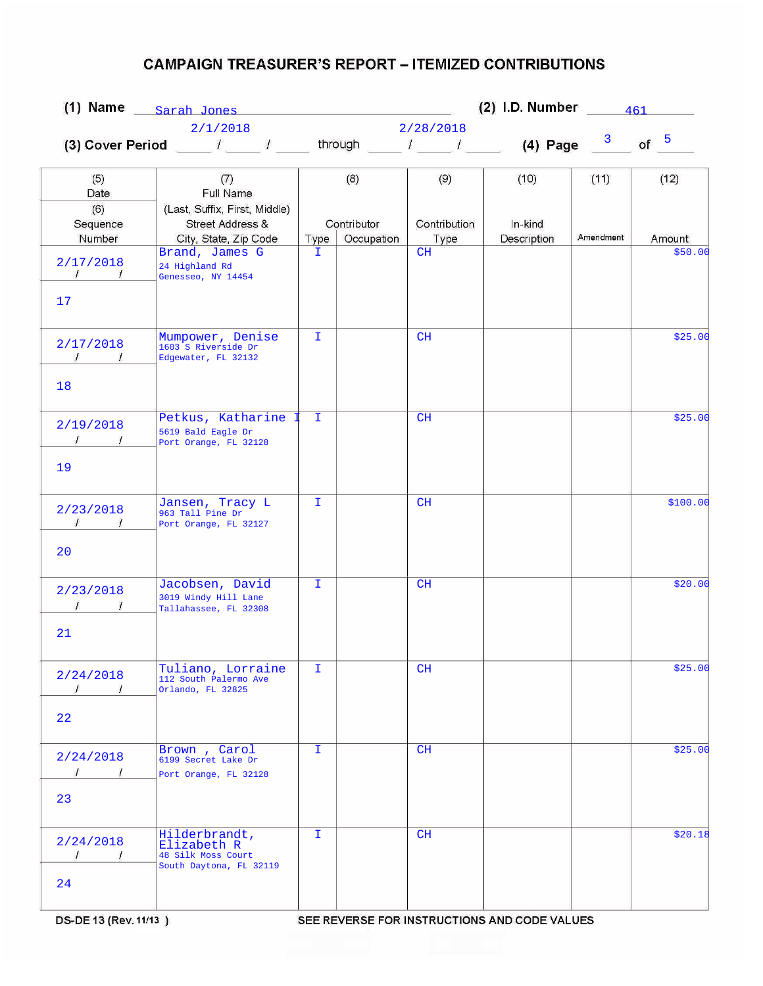|                                                   | $(1)$ Name $_{\text{Sarah-Jones}}$                                                             |              |                           | (2) I.D. Number $\frac{461}{\sqrt{2}}$ |                        |           |          |
|---------------------------------------------------|------------------------------------------------------------------------------------------------|--------------|---------------------------|----------------------------------------|------------------------|-----------|----------|
|                                                   | 2/1/2018                                                                                       |              |                           | 2/28/2018                              |                        |           |          |
|                                                   | (3) Cover Period ____ $l$ ____ $l$ ____ through ____ $l$ ____ $l$ _____ (4) Page $\frac{3}{2}$ |              |                           |                                        |                        |           | of $5$   |
| (5)<br>Date                                       | (7)<br>Full Name                                                                               |              | (8)                       | (9)                                    | (10)                   | (11)      | (12)     |
| (6)<br>Sequence<br>Number                         | (Last, Suffix, First, Middle)<br>Street Address &<br>City, State, Zip Code                     | Type         | Contributor<br>Occupation | Contribution<br>Type                   | In-kind<br>Description | Amendment | Amount   |
| 2/17/2018<br>$\mathcal{L}$<br>17                  | Brand, James G<br>24 Highland Rd<br>Genesseo, NY 14454                                         | T.           |                           | CH                                     |                        |           | \$50.00  |
| 2/17/2018<br>$\sqrt{1}$<br>18                     | Mumpower, Denise<br>1603 S Riverside Dr<br>Edgewater, FL 32132                                 | T.           |                           | CH                                     |                        |           | \$25.00  |
| 2/19/2018<br>$\frac{1}{\sqrt{2}}$<br>19           | Petkus, Katharine<br>5619 Bald Eagle Dr<br>Port Orange, FL 32128                               | I.           |                           | CH                                     |                        |           | \$25.00  |
| 2/23/2018<br>$\mathcal{L}$<br>$\frac{1}{2}$<br>20 | Jansen, Tracy L<br>963 Tall Pine Dr<br>Port Orange, FL 32127                                   | T.           |                           | CH                                     |                        |           | \$100.00 |
| 2/23/2018<br>21                                   | Jacobsen, David<br>3019 Windy Hill Lane<br>Tallahassee, FL 32308                               | $\mathbf{I}$ |                           | CH                                     |                        |           | \$20.00  |
| 2/24/2018<br>$\prime$<br>I<br>22                  | Tuliano, Lorraine<br>112 South Palermo Ave<br>Orlando, FL 32825                                | I.           |                           | CH                                     |                        |           | \$25.00  |
| 2/24/2018<br>$\prime$<br>$\sqrt{ }$<br>23         | Brown, Carol<br>6199 Secret Lake Dr<br>Port Orange, FL 32128                                   | I.           |                           | CH                                     |                        |           | \$25.00  |
| 2/24/2018<br>$\sqrt{ }$<br>$\sqrt{ }$<br>24       | Hilderbrandt,<br>Elizabeth R<br>48 Silk Moss Court<br>South Daytona, FL 32119                  | I.           |                           | CH                                     |                        |           | \$20.18  |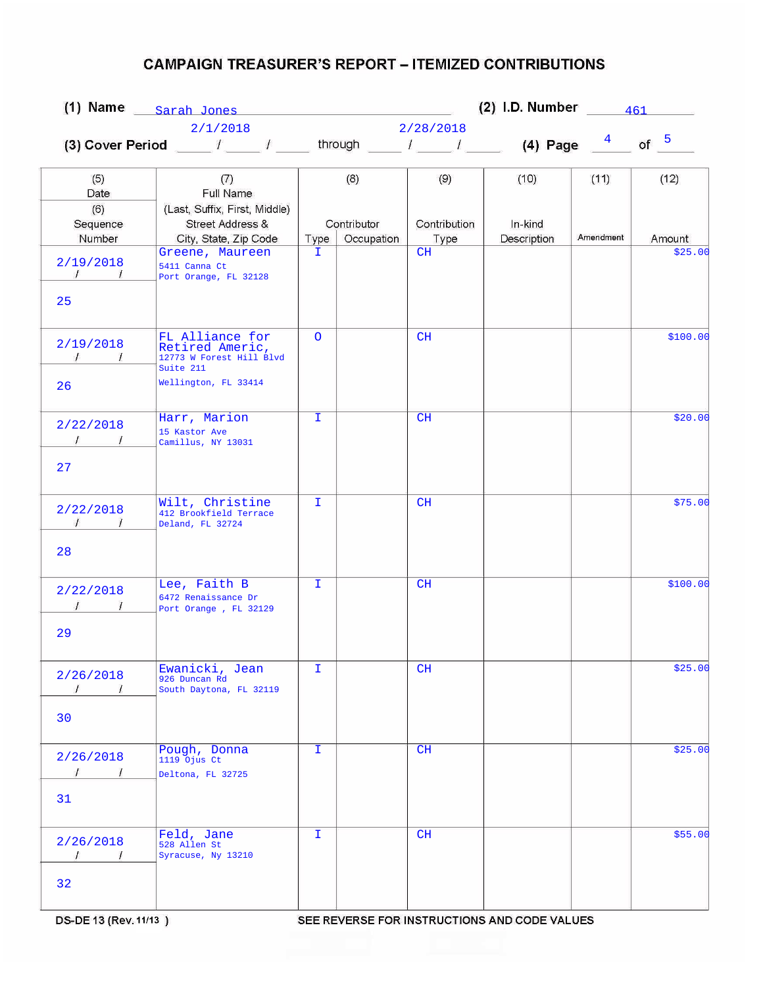|                                                 |                                                                                                     | (2) I.D. Number $\frac{461}{26}$<br>$(1)$ Name $_{\text{Sarah-Jones}}$ |                           |                      |                        |           |          |  |  |
|-------------------------------------------------|-----------------------------------------------------------------------------------------------------|------------------------------------------------------------------------|---------------------------|----------------------|------------------------|-----------|----------|--|--|
|                                                 | 2/1/2018                                                                                            |                                                                        |                           | 2/28/2018            |                        |           |          |  |  |
|                                                 | (3) Cover Period _____ / _____ / ______ through _____ / _____ / _____ (4) Page $\frac{4}{\sqrt{2}}$ |                                                                        |                           |                      |                        |           | of $5$   |  |  |
| (5)<br>Date                                     | (7)<br>Full Name                                                                                    |                                                                        | (8)                       | (9)                  | (10)                   | (11)      | (12)     |  |  |
| (6)<br>Sequence<br>Number                       | (Last, Suffix, First, Middle)<br>Street Address &<br>City, State, Zip Code                          | Type                                                                   | Contributor<br>Occupation | Contribution<br>Type | In-kind<br>Description | Amendment | Amount   |  |  |
| 2/19/2018<br>$\sqrt{2}$<br>25                   | Greene, Maureen<br>5411 Canna Ct<br>Port Orange, FL 32128                                           | T.                                                                     |                           | CH                   |                        |           | \$25.00  |  |  |
| 2/19/2018<br>$\sqrt{2}$<br>1<br>26              | FL Alliance for<br>Retired Americ,<br>12773 W Forest Hill Blvd<br>Suite 211<br>Wellington, FL 33414 | $\Omega$                                                               |                           | CH                   |                        |           | \$100.00 |  |  |
| 2/22/2018<br>27                                 | Harr, Marion<br>15 Kastor Ave<br>Camillus, NY 13031                                                 | I.                                                                     |                           | CH                   |                        |           | \$20.00  |  |  |
| 2/22/2018<br>$\sqrt{ }$<br>$\frac{1}{2}$        | Wilt, Christine<br>412 Brookfield Terrace<br>Deland, FL 32724                                       | T.                                                                     |                           | CH                   |                        |           | \$75.00  |  |  |
| 28<br>2/22/2018<br>29                           | Lee, Faith B<br>6472 Renaissance Dr<br>Port Orange, FL 32129                                        | $\mathbf{I}$                                                           |                           | CH                   |                        |           | \$100.00 |  |  |
| 2/26/2018<br>$\prime$<br>$\iota$<br>30          | Ewanicki, Jean<br>926 Duncan Rd<br>South Daytona, FL 32119                                          | I.                                                                     |                           | CH                   |                        |           | \$25.00  |  |  |
| 2/26/2018<br>$\sqrt{ }$<br>$\overline{1}$<br>31 | Pough, Donna<br>1119 Ojus Ct<br>Deltona, FL 32725                                                   | I.                                                                     |                           | CH                   |                        |           | \$25.00  |  |  |
| 2/26/2018<br>$\prime$<br>$\sqrt{ }$<br>32       | Feld, Jane<br>528 Allen St<br>Syracuse, Ny 13210                                                    | I.                                                                     |                           | CH                   |                        |           | \$55.00  |  |  |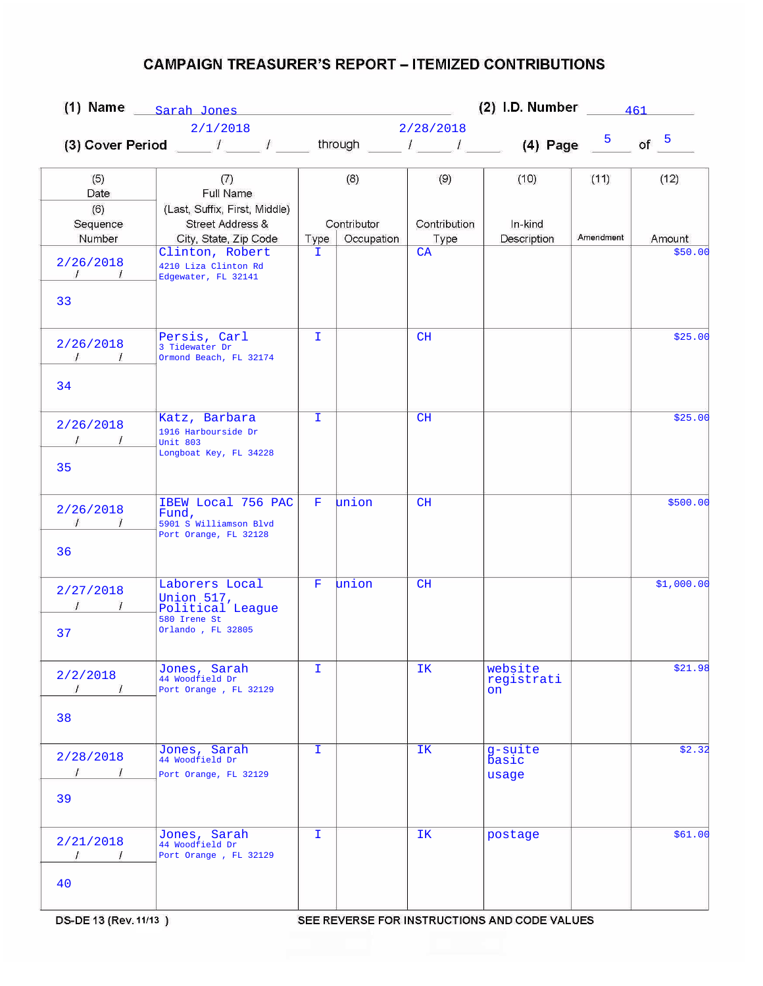|                                                   |                                                                                       | $(2)$ I.D. Number<br>(1) Name $_{\text{Sarah Jones}}$ |                           |                      |                                                           |                | 461        |  |  |  |
|---------------------------------------------------|---------------------------------------------------------------------------------------|-------------------------------------------------------|---------------------------|----------------------|-----------------------------------------------------------|----------------|------------|--|--|--|
|                                                   | 2/1/2018                                                                              |                                                       | 2/28/2018                 |                      |                                                           |                |            |  |  |  |
|                                                   | (3) Cover Period $\sqrt{2}$                                                           |                                                       |                           |                      | through $\begin{array}{ccc} & I & I \end{array}$ (4) Page | 5 <sub>1</sub> | of $5$     |  |  |  |
| (5)<br>Date                                       | (7)<br>Full Name                                                                      |                                                       | (8)                       | (9)                  | (10)                                                      | (11)           | (12)       |  |  |  |
| (6)<br>Sequence<br>Number                         | (Last, Suffix, First, Middle)<br>Street Address &<br>City, State, Zip Code            | Type                                                  | Contributor<br>Occupation | Contribution<br>Type | In-kind<br>Description                                    | Amendment      | Amount     |  |  |  |
| 2/26/2018<br>$\mathcal{L}$<br>33                  | Clinton, Robert<br>4210 Liza Clinton Rd<br>Edgewater, FL 32141                        | I.                                                    |                           | CA                   |                                                           |                | \$50.00    |  |  |  |
| 2/26/2018<br>$\sqrt{1}$<br>34                     | Persis, Carl<br>3 Tidewater Dr<br>Ormond Beach, FL 32174                              | $\mathbf I$                                           |                           | CH                   |                                                           |                | \$25.00    |  |  |  |
| 2/26/2018<br>35                                   | Katz, Barbara<br>1916 Harbourside Dr<br><b>Unit 803</b><br>Longboat Key, FL 34228     | T.                                                    |                           | CH                   |                                                           |                | \$25.00    |  |  |  |
| 2/26/2018<br>$\mathcal{I}$<br>$\mathcal{I}$<br>36 | IBEW Local 756 PAC<br>Fund,<br>5901 S Williamson Blvd<br>Port Orange, FL 32128        | F                                                     | union                     | CH                   |                                                           |                | \$500.00   |  |  |  |
| 2/27/2018<br>37                                   | Laborers Local<br>Union 517,<br>Political League<br>580 Irene St<br>Orlando, FL 32805 | $\mathbf F$                                           | union                     | CH                   |                                                           |                | \$1,000.00 |  |  |  |
| 2/2/2018<br>$\prime$<br>38                        | Jones, Sarah<br>44 Woodfield Dr<br>Port Orange, FL 32129                              | I                                                     |                           | IΚ                   | website<br>registrati<br>on                               |                | \$21.98    |  |  |  |
| 2/28/2018<br>$\mathcal I$<br>$\sqrt{1}$<br>39     | Jones, Sarah<br>44 Woodfield Dr<br>Port Orange, FL 32129                              | I.                                                    |                           | IK                   | $g$ -suite<br><b>basic</b><br>usage                       |                | \$2.32     |  |  |  |
| 2/21/2018<br>$\sqrt{ }$<br>$\prime$<br>40         | Jones, Sarah<br>44 Woodfield Dr<br>Port Orange, FL 32129                              | I.                                                    |                           | IK.                  | postage                                                   |                | \$61.00    |  |  |  |